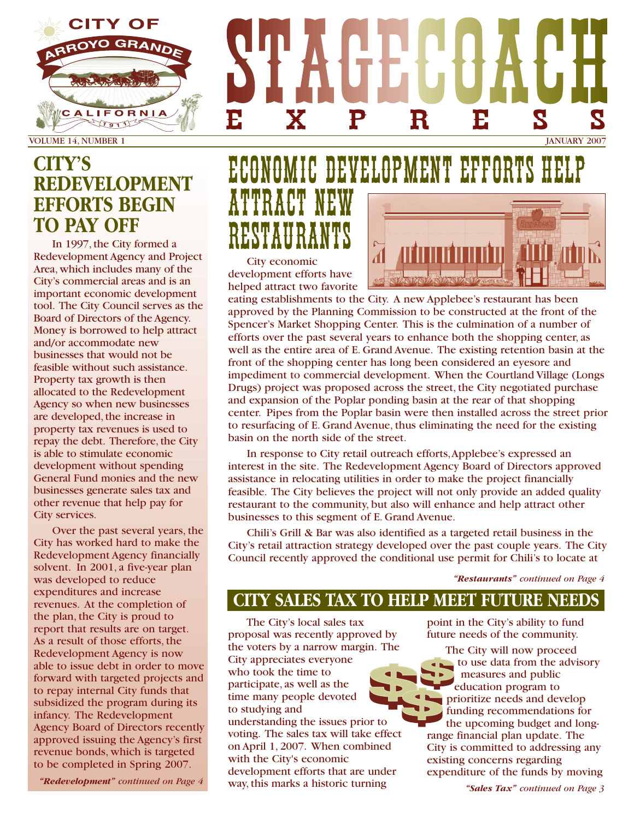

VOLUME 14, NUMBER 1 JANUARY 2007

### **CITY'S REDEVELOPMENT EFFORTS BEGIN TO PAY OFF**

In 1997, the City formed a Redevelopment Agency and Project Area, which includes many of the City's commercial areas and is an important economic development tool. The City Council serves as the Board of Directors of the Agency. Money is borrowed to help attract and/or accommodate new businesses that would not be feasible without such assistance. Property tax growth is then allocated to the Redevelopment Agency so when new businesses are developed, the increase in property tax revenues is used to repay the debt. Therefore, the City is able to stimulate economic development without spending General Fund monies and the new businesses generate sales tax and other revenue that help pay for City services.

Over the past several years, the City has worked hard to make the Redevelopment Agency financially solvent. In 2001, a five-year plan was developed to reduce expenditures and increase revenues. At the completion of the plan, the City is proud to report that results are on target. As a result of those efforts, the Redevelopment Agency is now able to issue debt in order to move forward with targeted projects and to repay internal City funds that subsidized the program during its infancy. The Redevelopment Agency Board of Directors recently approved issuing the Agency's first revenue bonds, which is targeted to be completed in Spring 2007.

*"Redevelopment" continued on Page 4*

# ECONOMIC DEVELOPMENT EFFORTS HELP ATTRACT NEW RESTAURANTS City economic

EXPRESS

development efforts have helped attract two favorite

eating establishments to the City. A new Applebee's restaurant has been approved by the Planning Commission to be constructed at the front of the Spencer's Market Shopping Center. This is the culmination of a number of efforts over the past several years to enhance both the shopping center, as well as the entire area of E. Grand Avenue. The existing retention basin at the front of the shopping center has long been considered an eyesore and impediment to commercial development. When the Courtland Village (Longs Drugs) project was proposed across the street, the City negotiated purchase and expansion of the Poplar ponding basin at the rear of that shopping center. Pipes from the Poplar basin were then installed across the street prior to resurfacing of E. Grand Avenue, thus eliminating the need for the existing basin on the north side of the street.

In response to City retail outreach efforts,Applebee's expressed an interest in the site. The Redevelopment Agency Board of Directors approved assistance in relocating utilities in order to make the project financially feasible. The City believes the project will not only provide an added quality restaurant to the community, but also will enhance and help attract other businesses to this segment of E. Grand Avenue.

Chili's Grill & Bar was also identified as a targeted retail business in the City's retail attraction strategy developed over the past couple years. The City Council recently approved the conditional use permit for Chili's to locate at

*"Restaurants" continued on Page 4*

### **CITY SALES TAX TO HELP MEET FUTURE NEEDS**

The City's local sales tax proposal was recently approved by the voters by a narrow margin. The City appreciates everyone who took the time to participate, as well as the time many people devoted to studying and understanding the issues prior to voting. The sales tax will take effect on April 1, 2007. When combined with the City's economic development efforts that are under way, this marks a historic turning

point in the City's ability to fund future needs of the community.

The City will now proceed  $\Box$  to use data from the advisory measures and public education program to prioritize needs and develop funding recommendations for the upcoming budget and longrange financial plan update. The City is committed to addressing any existing concerns regarding expenditure of the funds by moving

*"Sales Tax" continued on Page 3*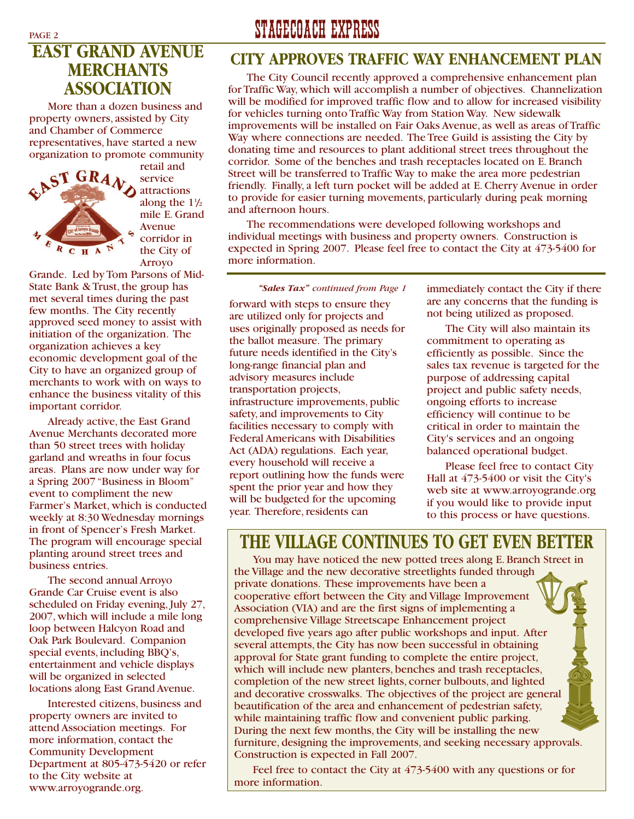### **EAST GRAND AVENUE MERCHANTS ASSOCIATION**

More than a dozen business and property owners, assisted by City and Chamber of Commerce representatives, have started a new organization to promote community



retail and service attractions along the  $1\frac{1}{2}$ mile E. Grand Avenue corridor in the City of Arroyo

Grande. Led by Tom Parsons of Mid-State Bank & Trust, the group has met several times during the past few months. The City recently approved seed money to assist with initiation of the organization. The organization achieves a key economic development goal of the City to have an organized group of merchants to work with on ways to enhance the business vitality of this important corridor.

Already active, the East Grand Avenue Merchants decorated more than 50 street trees with holiday garland and wreaths in four focus areas. Plans are now under way for a Spring 2007 "Business in Bloom" event to compliment the new Farmer's Market, which is conducted weekly at 8:30 Wednesday mornings in front of Spencer's Fresh Market. The program will encourage special planting around street trees and business entries.

The second annual Arroyo Grande Car Cruise event is also scheduled on Friday evening, July 27, 2007, which will include a mile long loop between Halcyon Road and Oak Park Boulevard. Companion special events, including BBQ's, entertainment and vehicle displays will be organized in selected locations along East Grand Avenue.

Interested citizens, business and property owners are invited to attend Association meetings. For more information, contact the Community Development Department at 805-473-5420 or refer to the City website at www.arroyogrande.org.

# PAGE 2 STAGECOACH EXPRESS

#### **CITY APPROVES TRAFFIC WAY ENHANCEMENT PLAN**

The City Council recently approved a comprehensive enhancement plan for Traffic Way, which will accomplish a number of objectives. Channelization will be modified for improved traffic flow and to allow for increased visibility for vehicles turning onto Traffic Way from Station Way. New sidewalk improvements will be installed on Fair Oaks Avenue, as well as areas of Traffic Way where connections are needed. The Tree Guild is assisting the City by donating time and resources to plant additional street trees throughout the corridor. Some of the benches and trash receptacles located on E. Branch Street will be transferred to Traffic Way to make the area more pedestrian friendly. Finally, a left turn pocket will be added at E. Cherry Avenue in order to provide for easier turning movements, particularly during peak morning and afternoon hours.

The recommendations were developed following workshops and individual meetings with business and property owners. Construction is expected in Spring 2007. Please feel free to contact the City at 473-5400 for more information.

#### *"Sales Tax" continued from Page 1*

forward with steps to ensure they are utilized only for projects and uses originally proposed as needs for the ballot measure. The primary future needs identified in the City's long-range financial plan and advisory measures include transportation projects, infrastructure improvements, public safety, and improvements to City facilities necessary to comply with Federal Americans with Disabilities Act (ADA) regulations. Each year, every household will receive a report outlining how the funds were spent the prior year and how they will be budgeted for the upcoming year. Therefore, residents can

immediately contact the City if there are any concerns that the funding is not being utilized as proposed.

The City will also maintain its commitment to operating as efficiently as possible. Since the sales tax revenue is targeted for the purpose of addressing capital project and public safety needs, ongoing efforts to increase efficiency will continue to be critical in order to maintain the City's services and an ongoing balanced operational budget.

Please feel free to contact City Hall at 473-5400 or visit the City's web site at www.arroyogrande.org if you would like to provide input to this process or have questions.

### **THE VILLAGE CONTINUES TO GET EVEN BETTER**

You may have noticed the new potted trees along E. Branch Street in the Village and the new decorative streetlights funded through private donations. These improvements have been a cooperative effort between the City and Village Improvement Association (VIA) and are the first signs of implementing a comprehensive Village Streetscape Enhancement project developed five years ago after public workshops and input. After several attempts, the City has now been successful in obtaining approval for State grant funding to complete the entire project, which will include new planters, benches and trash receptacles, completion of the new street lights, corner bulbouts, and lighted and decorative crosswalks. The objectives of the project are general beautification of the area and enhancement of pedestrian safety, while maintaining traffic flow and convenient public parking. During the next few months, the City will be installing the new furniture, designing the improvements, and seeking necessary approvals. Construction is expected in Fall 2007.

Feel free to contact the City at 473-5400 with any questions or for more information.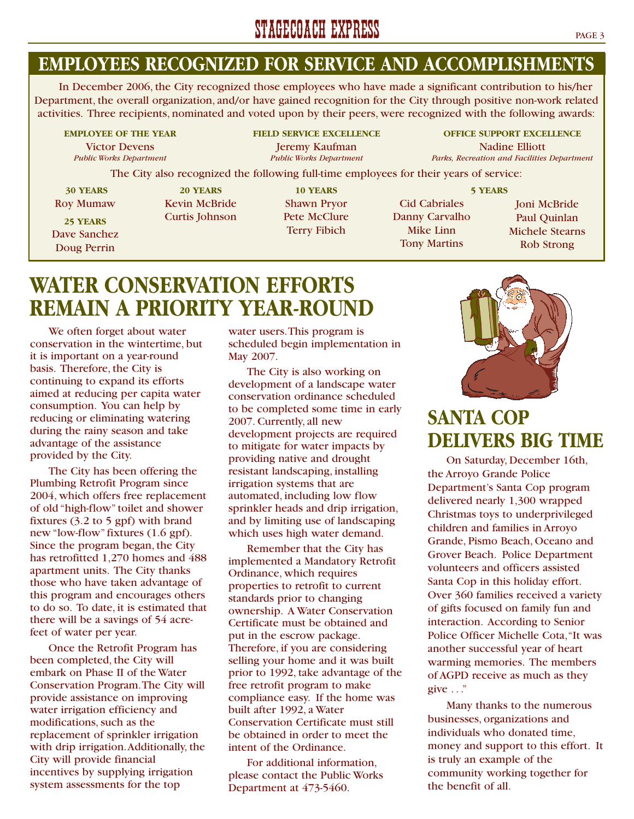## STAGECOACH EXPRESS PAGE 3

### **EMPLOYEES RECOGNIZED FOR SERVICE AND ACCOMPLISHMENTS**

In December 2006, the City recognized those employees who have made a significant contribution to his/her Department, the overall organization, and/or have gained recognition for the City through positive non-work related activities. Three recipients, nominated and voted upon by their peers, were recognized with the following awards:

Victor Devens Jeremy Kaufman Nadine Elliott<br>
Public Works Department Public Works Department Parks, Recreation and Facilities

**EMPLOYEE OF THE YEAR FIELD SERVICE EXCELLENCE OFFICE SUPPORT EXCELLENCE** *Parks, Recreation and Facilities Department* 

The City also recognized the following full-time employees for their years of service:

**30 YEARS** Roy Mumaw

**25 YEARS** Dave Sanchez Doug Perrin

**20 YEARS** Kevin McBride Curtis Johnson

**10 YEARS** Shawn Pryor Pete McClure Terry Fibich

Cid Cabriales Danny Carvalho Mike Linn Tony Martins **5 YEARS**

Joni McBride Paul Quinlan Michele Stearns Rob Strong

# **WATER CONSERVATION EFFORTS REMAIN A PRIORITY YEAR-ROUND**

We often forget about water conservation in the wintertime, but it is important on a year-round basis. Therefore, the City is continuing to expand its efforts aimed at reducing per capita water consumption. You can help by reducing or eliminating watering during the rainy season and take advantage of the assistance provided by the City.

The City has been offering the Plumbing Retrofit Program since 2004, which offers free replacement of old "high-flow" toilet and shower fixtures (3.2 to 5 gpf) with brand new "low-flow" fixtures (1.6 gpf). Since the program began, the City has retrofitted 1,270 homes and 488 apartment units. The City thanks those who have taken advantage of this program and encourages others to do so. To date, it is estimated that there will be a savings of 54 acrefeet of water per year.

Once the Retrofit Program has been completed, the City will embark on Phase II of the Water Conservation Program.The City will provide assistance on improving water irrigation efficiency and modifications, such as the replacement of sprinkler irrigation with drip irrigation.Additionally, the City will provide financial incentives by supplying irrigation system assessments for the top

water users.This program is scheduled begin implementation in May 2007.

The City is also working on development of a landscape water conservation ordinance scheduled to be completed some time in early 2007. Currently, all new development projects are required to mitigate for water impacts by providing native and drought resistant landscaping, installing irrigation systems that are automated, including low flow sprinkler heads and drip irrigation, and by limiting use of landscaping which uses high water demand.

Remember that the City has implemented a Mandatory Retrofit Ordinance, which requires properties to retrofit to current standards prior to changing ownership. A Water Conservation Certificate must be obtained and put in the escrow package. Therefore, if you are considering selling your home and it was built prior to 1992, take advantage of the free retrofit program to make compliance easy. If the home was built after 1992, a Water Conservation Certificate must still be obtained in order to meet the intent of the Ordinance.

For additional information, please contact the Public Works Department at 473-5460.



# **SANTA COP DELIVERS BIG TIME**

On Saturday, December 16th, the Arroyo Grande Police Department's Santa Cop program delivered nearly 1,300 wrapped Christmas toys to underprivileged children and families in Arroyo Grande, Pismo Beach, Oceano and Grover Beach. Police Department volunteers and officers assisted Santa Cop in this holiday effort. Over 360 families received a variety of gifts focused on family fun and interaction. According to Senior Police Officer Michelle Cota,"It was another successful year of heart warming memories. The members of AGPD receive as much as they give  $\ldots$ "

Many thanks to the numerous businesses, organizations and individuals who donated time, money and support to this effort. It is truly an example of the community working together for the benefit of all.